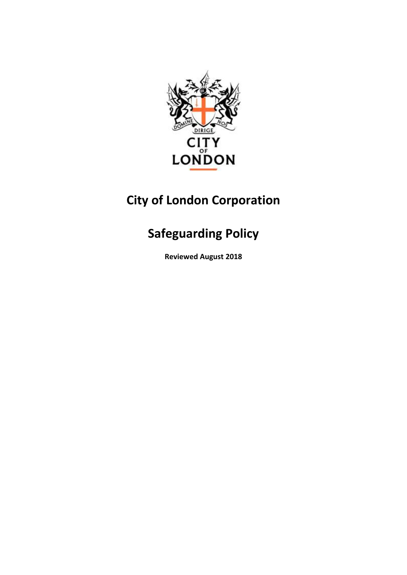

# **City of London Corporation**

# **Safeguarding Policy**

**Reviewed August 2018**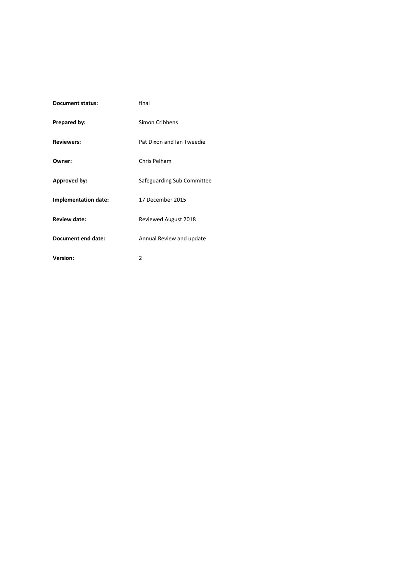| <b>Document status:</b> | final                      |
|-------------------------|----------------------------|
| Prepared by:            | Simon Cribbens             |
| <b>Reviewers:</b>       | Pat Dixon and Ian Tweedie  |
| Owner:                  | Chris Pelham               |
| Approved by:            | Safeguarding Sub Committee |
| Implementation date:    | 17 December 2015           |
| <b>Review date:</b>     | Reviewed August 2018       |
| Document end date:      | Annual Review and update   |
| Version:                | 2                          |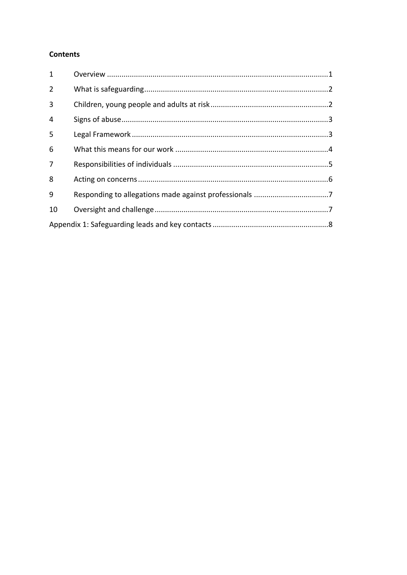#### **Contents**

| $\mathbf{1}$   |  |  |
|----------------|--|--|
| $\overline{2}$ |  |  |
| 3              |  |  |
| $\overline{4}$ |  |  |
| 5              |  |  |
| 6              |  |  |
| $\overline{7}$ |  |  |
| 8              |  |  |
| 9              |  |  |
| 10             |  |  |
|                |  |  |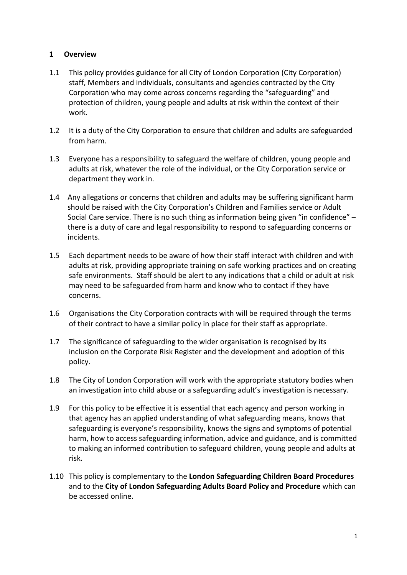#### <span id="page-3-0"></span>**1 Overview**

- 1.1 This policy provides guidance for all City of London Corporation (City Corporation) staff, Members and individuals, consultants and agencies contracted by the City Corporation who may come across concerns regarding the "safeguarding" and protection of children, young people and adults at risk within the context of their work.
- 1.2 It is a duty of the City Corporation to ensure that children and adults are safeguarded from harm.
- 1.3 Everyone has a responsibility to safeguard the welfare of children, young people and adults at risk, whatever the role of the individual, or the City Corporation service or department they work in.
- 1.4 Any allegations or concerns that children and adults may be suffering significant harm should be raised with the City Corporation's Children and Families service or Adult Social Care service. There is no such thing as information being given "in confidence" – there is a duty of care and legal responsibility to respond to safeguarding concerns or incidents.
- 1.5 Each department needs to be aware of how their staff interact with children and with adults at risk, providing appropriate training on safe working practices and on creating safe environments. Staff should be alert to any indications that a child or adult at risk may need to be safeguarded from harm and know who to contact if they have concerns.
- 1.6 Organisations the City Corporation contracts with will be required through the terms of their contract to have a similar policy in place for their staff as appropriate.
- 1.7 The significance of safeguarding to the wider organisation is recognised by its inclusion on the Corporate Risk Register and the development and adoption of this policy.
- 1.8 The City of London Corporation will work with the appropriate statutory bodies when an investigation into child abuse or a safeguarding adult's investigation is necessary.
- 1.9 For this policy to be effective it is essential that each agency and person working in that agency has an applied understanding of what safeguarding means, knows that safeguarding is everyone's responsibility, knows the signs and symptoms of potential harm, how to access safeguarding information, advice and guidance, and is committed to making an informed contribution to safeguard children, young people and adults at risk.
- 1.10 This policy is complementary to the **London [Safeguarding](http://www.londoncp.co.uk/procedures/contents.html) Children Board Procedures** and to the **City of London [Safeguarding](http://cityoflondonadults.proceduresonline.com/pdfs/Safeguarding%20Adults%20Policy%20and%20Procedures_complete.pdf) Adults Board Policy and Procedure** which can be accessed online.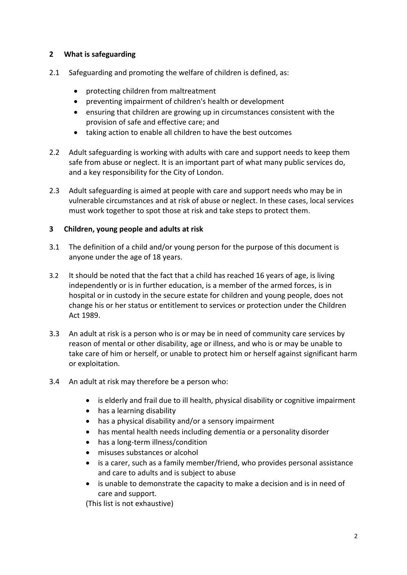#### <span id="page-4-0"></span>**2 What is safeguarding**

- 2.1 Safeguarding and promoting the welfare of children is defined, as:
	- protecting children from maltreatment
	- preventing impairment of children's health or development
	- ensuring that children are growing up in circumstances consistent with the provision of safe and effective care; and
	- taking action to enable all children to have the best outcomes
- 2.2 Adult safeguarding is working with adults with care and support needs to keep them safe from abuse or neglect. It is an important part of what many public services do, and a key responsibility for the City of London.
- 2.3 Adult safeguarding is aimed at people with care and support needs who may be in vulnerable circumstances and at risk of abuse or neglect. In these cases, local services must work together to spot those at risk and take steps to protect them.

#### <span id="page-4-1"></span>**3 Children, young people and adults at risk**

- 3.1 The definition of a child and/or young person for the purpose of this document is anyone under the age of 18 years.
- 3.2 It should be noted that the fact that a child has reached 16 years of age, is living independently or is in further education, is a member of the armed forces, is in hospital or in custody in the secure estate for children and young people, does not change his or her status or entitlement to services or protection under the Children Act 1989.
- 3.3 An adult at risk is a person who is or may be in need of community care services by reason of mental or other disability, age or illness, and who is or may be unable to take care of him or herself, or unable to protect him or herself against significant harm or exploitation.
- 3.4 An adult at risk may therefore be a person who:
	- is elderly and frail due to ill health, physical disability or cognitive impairment
	- has a learning disability
	- has a physical disability and/or a sensory impairment
	- has mental health needs including dementia or a personality disorder
	- has a long-term illness/condition
	- misuses substances or alcohol
	- is a carer, such as a family member/friend, who provides personal assistance and care to adults and is subject to abuse
	- is unable to demonstrate the capacity to make a decision and is in need of care and support.

(This list is not exhaustive)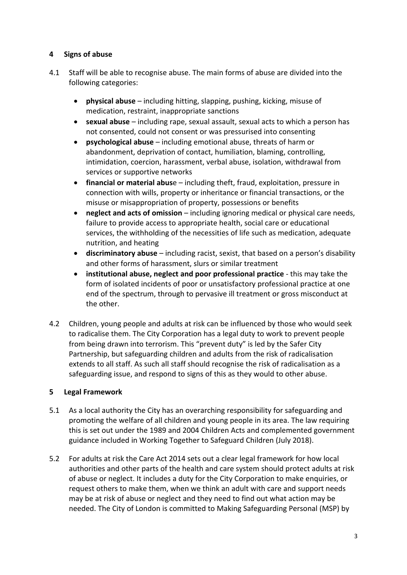#### <span id="page-5-0"></span>**4 Signs of abuse**

- 4.1 Staff will be able to recognise abuse. The main forms of abuse are divided into the following categories:
	- **physical abuse** including hitting, slapping, pushing, kicking, misuse of medication, restraint, inappropriate sanctions
	- **sexual abuse** including rape, sexual assault, sexual acts to which a person has not consented, could not consent or was pressurised into consenting
	- **psychological abuse** including emotional abuse, threats of harm or abandonment, deprivation of contact, humiliation, blaming, controlling, intimidation, coercion, harassment, verbal abuse, isolation, withdrawal from services or supportive networks
	- **financial or material abus**e including theft, fraud, exploitation, pressure in connection with wills, property or inheritance or financial transactions, or the misuse or misappropriation of property, possessions or benefits
	- **neglect and acts of omission** including ignoring medical or physical care needs, failure to provide access to appropriate health, social care or educational services, the withholding of the necessities of life such as medication, adequate nutrition, and heating
	- **discriminatory abuse** including racist, sexist, that based on a person's disability and other forms of harassment, slurs or similar treatment
	- **institutional abuse, neglect and poor professional practice** this may take the form of isolated incidents of poor or unsatisfactory professional practice at one end of the spectrum, through to pervasive ill treatment or gross misconduct at the other.
- 4.2 Children, young people and adults at risk can be influenced by those who would seek to radicalise them. The City Corporation has a legal duty to work to prevent people from being drawn into terrorism. This "prevent duty" is led by the Safer City Partnership, but safeguarding children and adults from the risk of radicalisation extends to all staff. As such all staff should recognise the risk of radicalisation as a safeguarding issue, and respond to signs of this as they would to other abuse.

#### <span id="page-5-1"></span>**5 Legal Framework**

- 5.1 As a local authority the City has an overarching responsibility for safeguarding and promoting the welfare of all children and young people in its area. The law requiring this is set out under the 1989 and 2004 Children Acts and complemented government guidance included in Working Together to Safeguard Children (July 2018).
- 5.2 For adults at risk the Care Act 2014 sets out a clear legal framework for how local authorities and other parts of the health and care system should protect adults at risk of abuse or neglect. It includes a duty for the City Corporation to make enquiries, or request others to make them, when we think an adult with care and support needs may be at risk of abuse or neglect and they need to find out what action may be needed. The City of London is committed to Making Safeguarding Personal (MSP) by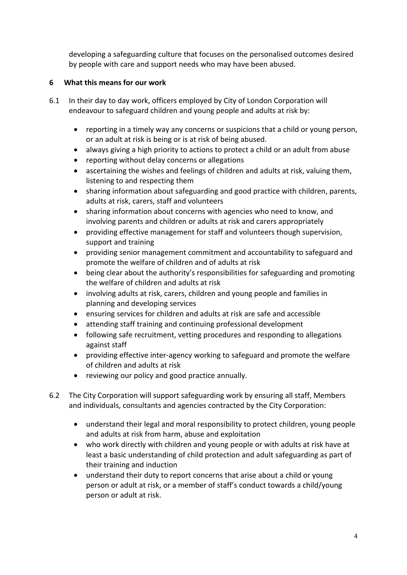developing a safeguarding culture that focuses on the personalised outcomes desired by people with care and support needs who may have been abused.

### <span id="page-6-0"></span>**6 What this means for our work**

- 6.1 In their day to day work, officers employed by City of London Corporation will endeavour to safeguard children and young people and adults at risk by:
	- reporting in a timely way any concerns or suspicions that a child or young person, or an adult at risk is being or is at risk of being abused.
	- always giving a high priority to actions to protect a child or an adult from abuse
	- reporting without delay concerns or allegations
	- ascertaining the wishes and feelings of children and adults at risk, valuing them, listening to and respecting them
	- sharing information about safeguarding and good practice with children, parents, adults at risk, carers, staff and volunteers
	- sharing information about concerns with agencies who need to know, and involving parents and children or adults at risk and carers appropriately
	- providing effective management for staff and volunteers though supervision, support and training
	- providing senior management commitment and accountability to safeguard and promote the welfare of children and of adults at risk
	- being clear about the authority's responsibilities for safeguarding and promoting the welfare of children and adults at risk
	- involving adults at risk, carers, children and young people and families in planning and developing services
	- ensuring services for children and adults at risk are safe and accessible
	- attending staff training and continuing professional development
	- following safe recruitment, vetting procedures and responding to allegations against staff
	- providing effective inter-agency working to safeguard and promote the welfare of children and adults at risk
	- reviewing our policy and good practice annually.
- 6.2 The City Corporation will support safeguarding work by ensuring all staff, Members and individuals, consultants and agencies contracted by the City Corporation:
	- understand their legal and moral responsibility to protect children, young people and adults at risk from harm, abuse and exploitation
	- who work directly with children and young people or with adults at risk have at least a basic understanding of child protection and adult safeguarding as part of their training and induction
	- understand their duty to report concerns that arise about a child or young person or adult at risk, or a member of staff's conduct towards a child/young person or adult at risk.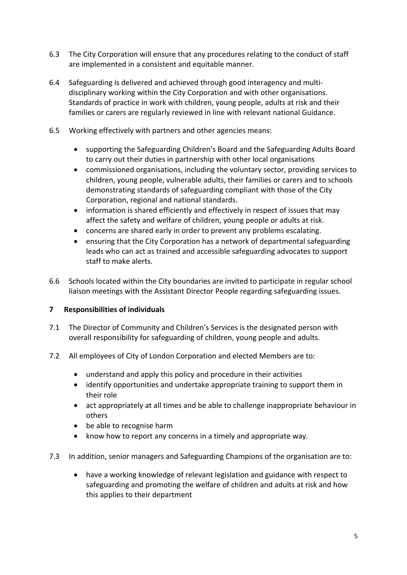- 6.3 The City Corporation will ensure that any procedures relating to the conduct of staff are implemented in a consistent and equitable manner.
- 6.4 Safeguarding is delivered and achieved through good interagency and multidisciplinary working within the City Corporation and with other organisations. Standards of practice in work with children, young people, adults at risk and their families or carers are regularly reviewed in line with relevant national Guidance.
- 6.5 Working effectively with partners and other agencies means:
	- supporting the Safeguarding Children's Board and the Safeguarding Adults Board to carry out their duties in partnership with other local organisations
	- commissioned organisations, including the voluntary sector, providing services to children, young people, vulnerable adults, their families or carers and to schools demonstrating standards of safeguarding compliant with those of the City Corporation, regional and national standards.
	- information is shared efficiently and effectively in respect of issues that may affect the safety and welfare of children, young people or adults at risk.
	- concerns are shared early in order to prevent any problems escalating.
	- ensuring that the City Corporation has a network of departmental safeguarding leads who can act as trained and accessible safeguarding advocates to support staff to make alerts.
- 6.6 Schools located within the City boundaries are invited to participate in regular school liaison meetings with the Assistant Director People regarding safeguarding issues.

#### <span id="page-7-0"></span>**7 Responsibilities of individuals**

- 7.1 The Director of Community and Children's Services is the designated person with overall responsibility for safeguarding of children, young people and adults.
- 7.2 All employees of City of London Corporation and elected Members are to:
	- understand and apply this policy and procedure in their activities
	- identify opportunities and undertake appropriate training to support them in their role
	- act appropriately at all times and be able to challenge inappropriate behaviour in others
	- be able to recognise harm
	- know how to report any concerns in a timely and appropriate way.
- 7.3 In addition, senior managers and Safeguarding Champions of the organisation are to:
	- have a working knowledge of relevant legislation and guidance with respect to safeguarding and promoting the welfare of children and adults at risk and how this applies to their department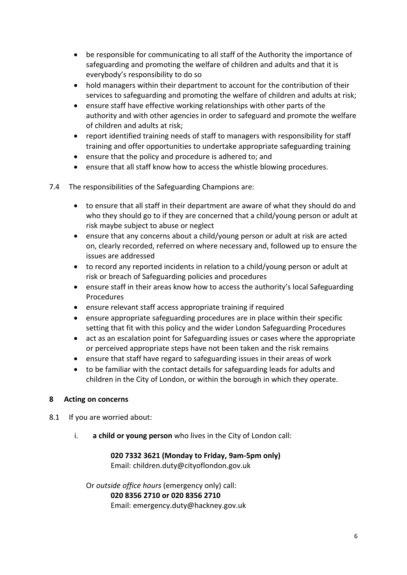- be responsible for communicating to all staff of the Authority the importance of safeguarding and promoting the welfare of children and adults and that it is everybody's responsibility to do so
- hold managers within their department to account for the contribution of their services to safeguarding and promoting the welfare of children and adults at risk;
- ensure staff have effective working relationships with other parts of the authority and with other agencies in order to safeguard and promote the welfare of children and adults at risk;
- report identified training needs of staff to managers with responsibility for staff training and offer opportunities to undertake appropriate safeguarding training
- ensure that the policy and procedure is adhered to; and
- ensure that all staff know how to access the whistle blowing procedures.
- 7.4 The responsibilities of the Safeguarding Champions are:
	- to ensure that all staff in their department are aware of what they should do and who they should go to if they are concerned that a child/young person or adult at risk maybe subject to abuse or neglect
	- ensure that any concerns about a child/young person or adult at risk are acted on, clearly recorded, referred on where necessary and, followed up to ensure the issues are addressed
	- to record any reported incidents in relation to a child/young person or adult at risk or breach of Safeguarding policies and procedures
	- ensure staff in their areas know how to access the authority's local Safeguarding Procedures
	- ensure relevant staff access appropriate training if required
	- ensure appropriate safeguarding procedures are in place within their specific setting that fit with this policy and the wider London Safeguarding Procedures
	- act as an escalation point for Safeguarding issues or cases where the appropriate or perceived appropriate steps have not been taken and the risk remains
	- ensure that staff have regard to safeguarding issues in their areas of work
	- to be familiar with the contact details for safeguarding leads for adults and children in the City of London, or within the borough in which they operate.

#### <span id="page-8-0"></span>**8 Acting on concerns**

- 8.1 If you are worried about:
	- i. **a child or young person** who lives in the City of London call:

#### **020 7332 3621 (Monday to Friday, 9am-5pm only)**

Email: [children.duty@cityoflondon.gov.uk](mailto:children.duty@cityoflondon.gov.uk)

Or *outside office hours* (emergency only) call: **020 8356 2710 or 020 8356 2710** Email: [emergency.duty@hackney.gov.uk](mailto:emergency.duty@hackney.gov.uk)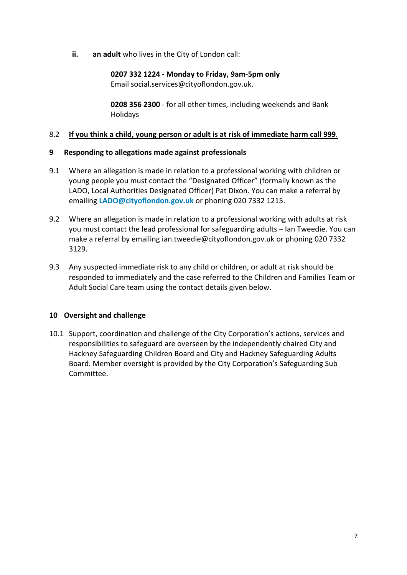**ii. an adult** who lives in the City of London call:

**0207 332 1224 - Monday to Friday, 9am-5pm only** Email [social.services@cityoflondon.gov.uk.](mailto:social.services@cityoflondon.gov.uk)

**0208 356 2300** - for all other times, including weekends and Bank Holidays

#### 8.2 **If you think a child, young person or adult is at risk of immediate harm call 999**.

#### <span id="page-9-0"></span>**9 Responding to allegations made against professionals**

- 9.1 Where an allegation is made in relation to a professional working with children or young people you must contact the "Designated Officer" (formally known as the LADO, Local Authorities Designated Officer) Pat Dixon. You can make a referral by emailing **[LADO@cityoflondon.gov.uk](mailto:LADO@cityoflondon.gov.uk)** or phoning 020 7332 1215.
- 9.2 Where an allegation is made in relation to a professional working with adults at risk you must contact the lead professional for safeguarding adults – Ian Tweedie. You can make a referral by emailing ian.tweedie@cityoflondon.gov.uk or phoning 020 7332 3129.
- 9.3 Any suspected immediate risk to any child or children, or adult at risk should be responded to immediately and the case referred to the Children and Families Team or Adult Social Care team using the contact details given below.

#### <span id="page-9-1"></span>**10 Oversight and challenge**

10.1 Support, coordination and challenge of the City Corporation's actions, services and responsibilities to safeguard are overseen by the independently chaired City and Hackney Safeguarding Children Board and City and Hackney Safeguarding Adults Board. Member oversight is provided by the City Corporation's Safeguarding Sub Committee.